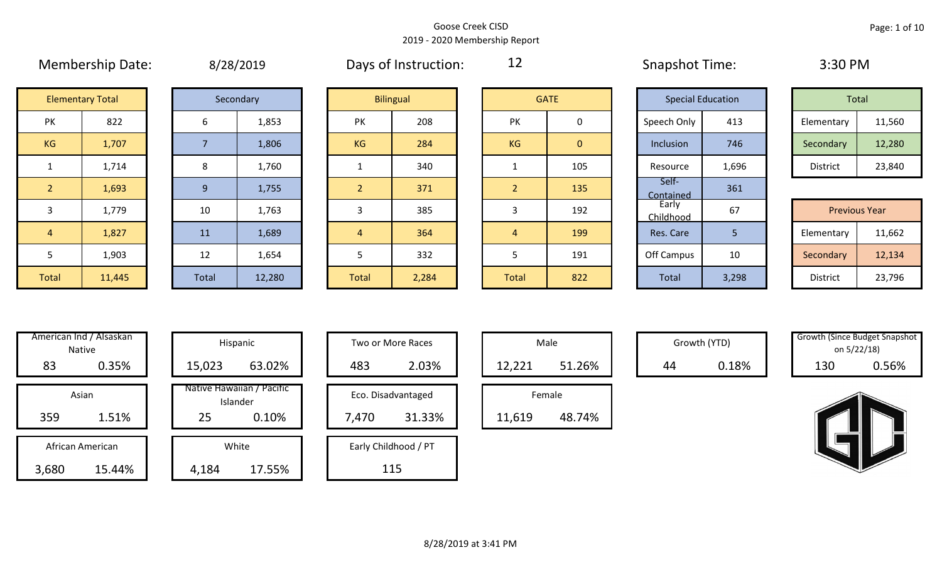|                | 1.1.1.1.0.01.1.0.000    |       | $V_1 = V_1 = V_2 = V_1$ |                |                  |                |              | $5.15$ $P5.15$ $C.1111$ |                          | ------               |        |
|----------------|-------------------------|-------|-------------------------|----------------|------------------|----------------|--------------|-------------------------|--------------------------|----------------------|--------|
|                | <b>Elementary Total</b> |       | Secondary               |                | <b>Bilingual</b> |                | <b>GATE</b>  |                         | <b>Special Education</b> | Total                |        |
| PK             | 822                     | 6     | 1,853                   | <b>PK</b>      | 208              | <b>PK</b>      | 0            | Speech Only             | 413                      | Elementary           | 11,560 |
| KG             | 1,707                   |       | 1,806                   | <b>KG</b>      | 284              | KG             | $\mathbf{0}$ | Inclusion               | 746                      | Secondary            | 12,280 |
|                | 1,714                   | 8     | 1,760                   |                | 340              |                | 105          | Resource                | 1,696                    | District             | 23,840 |
| $\overline{2}$ | 1,693                   | 9     | 1,755                   | $\overline{2}$ | 371              | $\overline{2}$ | 135          | Self-<br>Contained      | 361                      |                      |        |
| 3              | 1,779                   | 10    | 1,763                   | 3              | 385              | 3              | 192          | Early<br>Childhood      | 67                       | <b>Previous Year</b> |        |
| $\overline{4}$ | 1,827                   | 11    | 1,689                   | $\overline{4}$ | 364              | $\overline{4}$ | 199          | Res. Care               | 5                        | Elementary           | 11,662 |
| 5              | 1,903                   | 12    | 1,654                   |                | 332              |                | 191          | Off Campus              | 10                       | Secondary            | 12,134 |
| Total          | 11,445                  | Total | 12,280                  | <b>Total</b>   | 2,284            | Total          | 822          | Total                   | 3,298                    | District             | 23,796 |

|  | 8/28/2019 |
|--|-----------|
|  |           |

Membership Date:  $\qquad \qquad 8/28/2019$  Days of Instruction:  $\qquad \qquad 12$  Snapshot Time: 3:30 PM

12

|                      | <b>Elementary Total</b> |  | Secondary |           | <b>Bilingual</b> |           | <b>GATE</b> |             | <b>Special Education</b> |            | Total  |
|----------------------|-------------------------|--|-----------|-----------|------------------|-----------|-------------|-------------|--------------------------|------------|--------|
| ∕ו ר<br>$\mathbf{N}$ | 822                     |  | 1,853     | PK        | 208              | PK        |             | Speech Only | 413                      | Elementary | 11,560 |
| G                    | 1,707                   |  | 1,806     | <b>KG</b> | 284              | <b>KG</b> | 0           | Inclusion   | 746                      | Secondary  | 12,280 |
|                      | 1,714                   |  | 1,760     |           | 340              |           | 105         | Resource    | 1,696                    | District   | 23,840 |

|             |        |       |        |       |       |              |     | -----------        |       |                      |        |
|-------------|--------|-------|--------|-------|-------|--------------|-----|--------------------|-------|----------------------|--------|
|             | 1,779  | 10    | 1,763  |       | 385   |              | 192 | Early<br>Childhood | 67    | <b>Previous Year</b> |        |
|             | 1,827  | 11    | 1,689  |       | 364   |              | 199 | Res. Care          |       | Elementary           | 11,662 |
|             | 1,903  | 12    | 1,654  |       | 332   |              | 191 | Off Campus         | 10    | Secondary            | 12,134 |
| <b>otal</b> | 11,445 | Total | 12,280 | Total | 2,284 | <b>Total</b> | 822 | Total              | 3,298 | District             | 23,796 |

|       | <b>Native</b>    | American Ind / Alsaskan | Hispani                    |
|-------|------------------|-------------------------|----------------------------|
| 83    |                  | 0.35%                   | 15,023                     |
|       | Asian            |                         | Native Hawaiiai<br>Islande |
| 359   |                  | 1.51%                   | 25                         |
|       | African American |                         | White                      |
| 3,680 |                  | 15.44%                  | 4,184                      |

| American Ind / Alsaskan<br>Native | Hispanic                              | Two or More Races    | Male             |    | Growth (YTD) | Growth (Since Budget Snaps)<br>on 5/22/18) |       |
|-----------------------------------|---------------------------------------|----------------------|------------------|----|--------------|--------------------------------------------|-------|
| 83<br>0.35%                       | 63.02%<br>15,023                      | 2.03%<br>483         | 51.26%<br>12,221 | 44 | 0.18%        | 130                                        | 0.56% |
| Asian                             | Native Hawaiian / Pacific<br>Islander | Eco. Disadvantaged   | Female           |    |              |                                            |       |
| 359<br>1.51%                      | 25<br>0.10%                           | 31.33%<br>7,470      | 48.74%<br>11,619 |    |              |                                            |       |
| African American                  | White                                 | Early Childhood / PT |                  |    |              |                                            |       |
| 3,680<br>15.44%                   | 17.55%<br>4,184                       | 115                  |                  |    |              |                                            |       |

| Hispanic                       |       | Two or More Races    |        | Male   |
|--------------------------------|-------|----------------------|--------|--------|
| 63.02%                         | 483   | 2.03%                | 12,221 |        |
| lawaiian / Pacific<br>Islander |       | Eco. Disadvantaged   |        | Female |
| 0.10%                          | 7,470 | 31.33%               | 11,619 |        |
| White                          |       | Early Childhood / PT |        |        |
| 17.55%                         |       | 115                  |        |        |

|        | Male   |  |  |  |  |  |  |  |  |
|--------|--------|--|--|--|--|--|--|--|--|
| 12,221 | 51.26% |  |  |  |  |  |  |  |  |
| Female |        |  |  |  |  |  |  |  |  |
| 11,619 | 48.74% |  |  |  |  |  |  |  |  |

Growth (YTD) Growth (Since Budget Snapshot on 5/22/18)

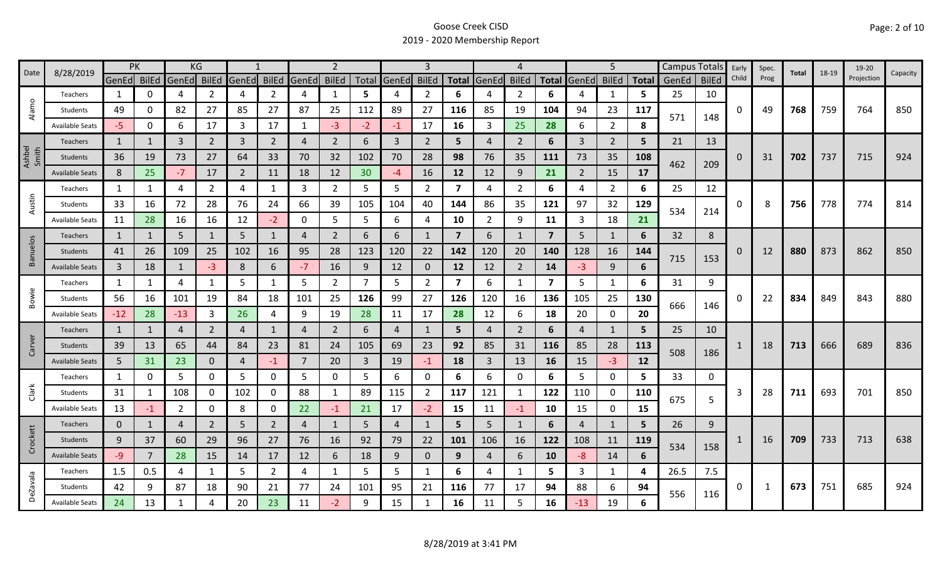| 8/28/2019<br>Date |                        | PK             | KG           |                |                |                |                | 2              |                |                |             |                |                         | $\boldsymbol{\Delta}$ |                |                         | 5              |                | <b>Campus Totals</b> Early |       |              | Spec.    | Total | 18-19 | 19-20 | Capacity   |     |
|-------------------|------------------------|----------------|--------------|----------------|----------------|----------------|----------------|----------------|----------------|----------------|-------------|----------------|-------------------------|-----------------------|----------------|-------------------------|----------------|----------------|----------------------------|-------|--------------|----------|-------|-------|-------|------------|-----|
|                   |                        | GenEd  BilEd   |              | GenEd          | <b>BilEd</b>   | GenEd          | <b>BilEd</b>   | GenEd          | <b>BilEd</b>   |                | Total GenEd | <b>BilEd</b>   | <b>Total</b>            | GenEd                 | <b>BilEd</b>   | <b>Total</b>            | GenEd          | <b>BilEd</b>   | <b>Total</b>               | GenEd | <b>BilEd</b> | Child    | Prog  |       |       | Projection |     |
|                   | Teachers               | 1              | 0            | 4              | 2              | 4              | $\overline{2}$ | 4              | 1              | 5              | 4           | $\overline{2}$ | 6                       | 4                     | $\overline{2}$ | 6                       | 4              | 1              | 5                          | 25    | 10           |          |       |       |       |            |     |
| Alamo             | Students               | 49             | O            | 82             | 27             | 85             | 27             | 87             | 25             | 112            | 89          | 27             | 116                     | 85                    | 19             | 104                     | 94             | 23             | 117                        | 571   | 148          | 0        | 49    | 768   | 759   | 764        | 850 |
|                   | <b>Available Seats</b> | $-5$           | 0            | 6              | 17             | 3              | 17             |                | $-3$           | $-2$           | $-1$        | 17             | 16                      | 3                     | 25             | 28                      | 6              | $\overline{2}$ | 8                          |       |              |          |       |       |       |            |     |
|                   | Teachers               | $\mathbf{1}$   |              | 3              | $\overline{2}$ | 3              | $\overline{2}$ | 4              | $\overline{2}$ | 6              | 3           | $\overline{2}$ | 5                       | 4                     | 2              | 6                       | 3              | $\overline{2}$ | 5                          | 21    | 13           |          |       |       |       |            |     |
| Ashbel<br>Smith   | Students               | 36             | 19           | 73             | 27             | 64             | 33             | 70             | 32             | 102            | 70          | 28             | 98                      | 76                    | 35             | 111                     | 73             | 35             | 108                        |       |              | $\Omega$ | 31    | 702   | 737   | 715        | 924 |
|                   | <b>Available Seats</b> | 8              | 25           | $-7$           | 17             | $\overline{2}$ | 11             | 18             | 12             | 30             | $-4$        | 16             | 12                      | 12                    | 9              | 21                      | $\overline{2}$ | 15             | 17                         | 462   | 209          |          |       |       |       |            |     |
|                   | Teachers               | 1              | 1            | 4              | 2              | 4              | 1              | 3              | $\overline{2}$ | 5              | 5           | $\overline{2}$ | 7                       | 4                     | 2              | 6                       | 4              | 2              | 6                          | 25    | 12           |          |       |       |       |            |     |
| Austin            | Students               | 33             | 16           | 72             | 28             | 76             | 24             | 66             | 39             | 105            | 104         | 40             | 144                     | 86                    | 35             | 121                     | 97             | 32             | 129                        |       |              | 0        | 8     | 756   | 778   | 774        | 814 |
|                   | <b>Available Seats</b> | 11             | 28           | 16             | 16             | 12             | $-2$           | 0              | 5              | 5              | 6           | 4              | 10                      | $\overline{2}$        | 9              | 11                      | 3              | 18             | 21                         | 534   | 214          |          |       |       |       |            |     |
|                   | Teachers               | 1              | 1            | 5              | $\mathbf{1}$   | 5              | $\mathbf{1}$   | 4              | $\overline{2}$ | 6              | 6           |                | $\overline{7}$          | 6                     | 1              | $\overline{\mathbf{z}}$ | 5              | 1              | 6                          | 32    | 8            |          |       |       |       |            |     |
| <b>Banuelos</b>   | Students               | 41             | 26           | 109            | 25             | 102            | 16             | 95             | 28             | 123            | 120         | 22             | 142                     | 120                   | 20             | 140                     | 128            | 16             | 144                        |       |              | 0        | 12    | 880   | 873   | 862        | 850 |
|                   | <b>Available Seats</b> | $\overline{3}$ | 18           | $\mathbf{1}$   | $-3$           | 8              | 6              | $-7$           | 16             | 9              | 12          | $\mathbf{0}$   | 12                      | 12                    | $\overline{2}$ | 14                      | $-3$           | 9              | 6                          | 715   | 153          |          |       |       |       |            |     |
|                   | Teachers               | 1              | $\mathbf{1}$ | 4              | $\mathbf{1}$   | 5              | 1              | 5              | $\overline{2}$ | $\overline{7}$ | 5           | $\overline{2}$ | $\overline{\mathbf{z}}$ | 6                     | $\mathbf{1}$   | $\overline{\mathbf{z}}$ | 5              | $\mathbf{1}$   | 6                          | 31    | 9            |          |       |       |       |            |     |
| Bowie             | Students               | 56             | 16           | 101            | 19             | 84             | 18             | 101            | 25             | 126            | 99          | 27             | 126                     | 120                   | 16             | 136                     | 105            | 25             | 130                        |       |              | 0        | 22    | 834   | 849   | 843        | 880 |
|                   | <b>Available Seats</b> | $-12$          | 28           | $-13$          | 3              | 26             | 4              | 9              | 19             | 28             | 11          | 17             | 28                      | 12                    | 6              | 18                      | 20             | 0              | 20                         | 666   | 146          |          |       |       |       |            |     |
|                   | Teachers               | $\mathbf{1}$   | 1            | 4              | $\overline{2}$ | $\overline{4}$ | $\mathbf{1}$   | 4              | $\overline{2}$ | 6              | 4           |                | 5                       | 4                     | $\overline{2}$ | 6                       | 4              | $\mathbf{1}$   | 5.                         | 25    | 10           |          |       |       |       |            |     |
| Carver            | Students               | 39             | 13           | 65             | 44             | 84             | 23             | 81             | 24             | 105            | 69          | 23             | 92                      | 85                    | 31             | 116                     | 85             | 28             | 113                        |       |              |          | 18    | 713   | 666   | 689        | 836 |
|                   | <b>Available Seats</b> | $5\phantom{.}$ | 31           | 23             | $\mathbf{0}$   | $\overline{4}$ | $-1$           | $\overline{7}$ | 20             | 3              | 19          | $-1$           | 18                      | 3                     | 13             | 16                      | 15             | $-3$           | 12                         | 508   | 186          |          |       |       |       |            |     |
|                   | Teachers               | 1              | 0            | 5              | 0              | 5              | 0              | 5              | 0              | 5              | 6           | 0              | 6                       | 6                     | 0              | 6                       | 5              | $\mathbf 0$    | 5.                         | 33    | 0            |          |       |       |       |            |     |
| Clark             | Students               | 31             | 1            | 108            | 0              | 102            | 0              | 88             | $\mathbf{1}$   | 89             | 115         | $\overline{2}$ | 117                     | 121                   | $\mathbf{1}$   | 122                     | 110            | $\mathbf 0$    | 110                        |       |              | 3        | 28    | 711   | 693   | 701        | 850 |
|                   | <b>Available Seats</b> | 13             | -1           | $\overline{2}$ | 0              | 8              | 0              | 22             | $-1$           | 21             | 17          | $-2$           | 15                      | 11                    | $-1$           | 10                      | 15             | $\mathbf 0$    | 15                         | 675   | 5            |          |       |       |       |            |     |
|                   | Teachers               | $\mathbf 0$    | 1            | 4              | $\overline{2}$ | 5              | $\overline{2}$ | 4              | $\mathbf{1}$   | 5              | 4           |                | 5                       | 5                     | $\mathbf{1}$   | 6                       | 4              | 1              | 5.                         | 26    | 9            |          |       |       |       |            |     |
| Crockett          | Students               | 9              | 37           | 60             | 29             | 96             | 27             | 76             | 16             | 92             | 79          | 22             | 101                     | 106                   | 16             | 122                     | 108            | 11             | 119                        |       |              |          | 16    | 709   | 733   | 713        | 638 |
|                   | <b>Available Seats</b> | -9             | 7            | 28             | 15             | 14             | 17             | 12             | 6              | 18             | 9           | $\mathbf{0}$   | 9                       | 4                     | 6              | 10                      | -8             | 14             | 6                          | 534   | 158          |          |       |       |       |            |     |
|                   | Teachers               | 1.5            | 0.5          | 4              | 1              | 5              | $\overline{2}$ | 4              | 1              | 5              | 5           | 1              | 6                       | 4                     | -1             | 5                       | 3              | 1              | 4                          | 26.5  | 7.5          |          |       |       |       |            |     |
| <b>DeZavala</b>   | Students               | 42             | 9            | 87             | 18             | 90             | 21             | 77             | 24             | 101            | 95          | 21             | 116                     | 77                    | 17             | 94                      | 88             | 6              | 94                         |       |              | 0        | 1     | 673   | 751   | 685        | 924 |
|                   | <b>Available Seats</b> | 24             | 13           | 1              |                | 20             | 23             | 11             | $-2$           | 9              | 15          |                | 16                      | 11                    | 5              | 16                      | $-13$          | 19             | 6                          | 556   | 116          |          |       |       |       |            |     |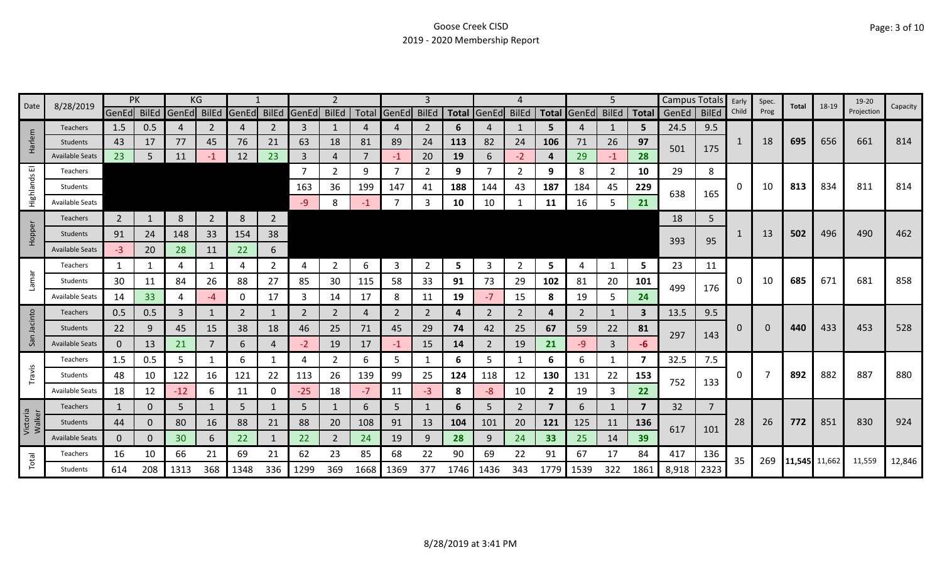| 8/28/2019<br>Date  |                        |                | PK           |       | ΚG             |                |                |                |                |      |                |                |              |                |                |                |                   | 5              |      | Campus Totals |                | Early    | Spec. | Total         | 18-19 | 19-20      | Capacity |
|--------------------|------------------------|----------------|--------------|-------|----------------|----------------|----------------|----------------|----------------|------|----------------|----------------|--------------|----------------|----------------|----------------|-------------------|----------------|------|---------------|----------------|----------|-------|---------------|-------|------------|----------|
|                    |                        | GenEd BilEd    |              | GenEd | BilEd          | GenEd          | <b>BilEd</b>   | GenEd BilEd    |                |      | Total GenEd    | <b>BilEd</b>   | <b>Total</b> | GenEd          | <b>BilEd</b>   |                | Total GenEd BilEd |                |      | Total GenEd   | <b>BilEd</b>   | Child    | Prog  |               |       | Projection |          |
|                    | Teachers               | 1.5            | 0.5          | 4     | 2              | 4              | 2              | 3              | $\mathbf{1}$   |      | 4              | 2              | 6            | 4              | 1              | 5.             | 4                 | 1              | 5    | 24.5          | 9.5            |          |       |               |       |            |          |
| Harlem             | Students               | 43             | 17           | 77    | 45             | 76             | 21             | 63             | 18             | 81   | 89             | 24             | 113          | 82             | 24             | 106            | 71                | 26             | 97   | 501           | 175            | 1        | 18    | 695           | 656   | 661        | 814      |
|                    | <b>Available Seats</b> | 23             | 5            | 11    | -1             | 12             | 23             | 3              | $\overline{4}$ |      | $-1$           | 20             | 19           | 6              | $-2$           | 4              | 29                | $-1$           | 28   |               |                |          |       |               |       |            |          |
| 画                  | Teachers               |                |              |       |                |                |                |                | $\overline{2}$ | 9    | $\overline{7}$ | $\overline{2}$ | 9            |                | 2              | 9              | 8                 | $\overline{2}$ | 10   | 29            | 8              |          |       |               |       |            |          |
| Highlands          | Students               |                |              |       |                |                |                | 163            | 36             | 199  | 147            | 41             | 188          | 144            | 43             | 187            | 184               | 45             | 229  | 638           | 165            | 0        | 10    | 813           | 834   | 811        | 814      |
|                    | <b>Available Seats</b> |                |              |       |                |                |                | -9             | 8              | $-1$ | 7              | 3              | 10           | 10             |                | 11             | 16                | 5              | 21   |               |                |          |       |               |       |            |          |
|                    | Teachers               | $\overline{2}$ | 1            | 8     | $\overline{2}$ | 8              | $\overline{2}$ |                |                |      |                |                |              |                |                |                |                   |                |      | 18            | 5              |          |       |               |       |            |          |
| Hopper             | Students               | 91             | 24           | 148   | 33             | 154            | 38             |                |                |      |                |                |              |                |                |                |                   |                |      |               |                |          | 13    | 502           | 496   | 490        | 462      |
|                    | <b>Available Seats</b> | -3             | 20           | 28    | 11             | 22             | 6              |                |                |      |                |                |              |                |                |                |                   |                |      | 393           | 95             |          |       |               |       |            |          |
|                    | Teachers               | 1              | 1            | 4     |                | 4              | $\overline{2}$ | 4              | $\overline{2}$ | 6    | 3              | $\overline{2}$ | 5            | 3              | $\overline{2}$ | 5              | 4                 | 1              | 5    | 23            | 11             |          |       |               |       |            |          |
| Lamar              | Students               | 30             | 11           | 84    | 26             | 88             | 27             | 85             | 30             | 115  | 58             | 33             | 91           | 73             | 29             | 102            | 81                | 20             | 101  |               |                | 0        | 10    | 685           | 671   | 681        | 858      |
|                    | Available Seats        | 14             | 33           | 4     | -4             | 0              | 17             | 3              | 14             | 17   | 8              | 11             | 19           | $-7$           | 15             | 8              | 19                | 5.             | 24   | 499           | 176            |          |       |               |       |            |          |
|                    | <b>Teachers</b>        | 0.5            | 0.5          | 3     |                | $\overline{2}$ | $\mathbf{1}$   | $\overline{2}$ | $\overline{2}$ | 4    | $\overline{2}$ | 2              | 4            | $\overline{2}$ | $\overline{2}$ | 4              | 2                 | 1              | 3    | 13.5          | 9.5            |          |       |               |       |            |          |
| Jacinto            | <b>Students</b>        | 22             | 9            | 45    | 15             | 38             | 18             | 46             | 25             | 71   | 45             | 29             | 74           | 42             | 25             | 67             | 59                | 22             | 81   |               |                | $\Omega$ | 0     | 440           | 433   | 453        | 528      |
| San                | <b>Available Seats</b> | $\mathsf{O}$   | 13           | 21    | $\overline{7}$ | 6              | 4              | $-2$           | 19             | 17   | $-1$           | 15             | 14           | $2^{\circ}$    | 19             | 21             | -9                | $\mathbf{3}$   | -6   | 297           | 143            |          |       |               |       |            |          |
|                    | Teachers               | 1.5            | 0.5          | 5     |                | 6              | 1              | 4              | $\overline{2}$ | 6    | 5              |                | 6            | 5.             |                | 6              | 6                 | 1              | 7    | 32.5          | 7.5            |          |       |               |       |            |          |
| Travis             | Students               | 48             | 10           | 122   | 16             | 121            | 22             | 113            | 26             | 139  | 99             | 25             | 124          | 118            | 12             | 130            | 131               | 22             | 153  |               |                | 0        |       | 892           | 882   | 887        | 880      |
|                    | <b>Available Seats</b> | 18             | 12           | $-12$ | 6              | 11             | 0              | $-25$          | 18             | $-7$ | 11             | -3             | 8            | -8             | 10             | $\overline{2}$ | 19                | 3              | 22   | 752           | 133            |          |       |               |       |            |          |
|                    | Teachers               | $\mathbf{1}$   | $\Omega$     | 5     |                | 5              |                | 5              | $\mathbf{1}$   | 6    | 5              |                | 6            | 5.             | $\overline{2}$ | $\overline{7}$ | 6                 | $\mathbf{1}$   | 7    | 32            | $\overline{7}$ |          |       |               |       |            |          |
| Victoria<br>Walker | Students               | 44             | $\mathbf{0}$ | 80    | 16             | 88             | 21             | 88             | 20             | 108  | 91             | 13             | 104          | 101            | 20             | 121            | 125               | 11             | 136  |               |                | 28       | 26    | 772           | 851   | 830        | 924      |
|                    | <b>Available Seats</b> | $\mathbf{0}$   | $\Omega$     | 30    | 6.             | 22             |                | 22             | $\overline{2}$ | 24   | 19             | 9              | 28           | 9              | 24             | 33             | 25                | 14             | 39   | 617           | 101            |          |       |               |       |            |          |
|                    | Teachers               | 16             | 10           | 66    | 21             | 69             | 21             | 62             | 23             | 85   | 68             | 22             | 90           | 69             | 22             | 91             | 67                | 17             | 84   | 417           | 136            |          |       |               |       |            |          |
| Total              | Students               | 614            | 208          | 1313  | 368            | 1348           | 336            | 1299           | 369            | 1668 | 1369           | 377            | 1746         | 1436           | 343            | 1779           | 1539              | 322            | 1861 | 8,918         | 2323           | 35       | 269   | 11,545 11,662 |       | 11,559     | 12,846   |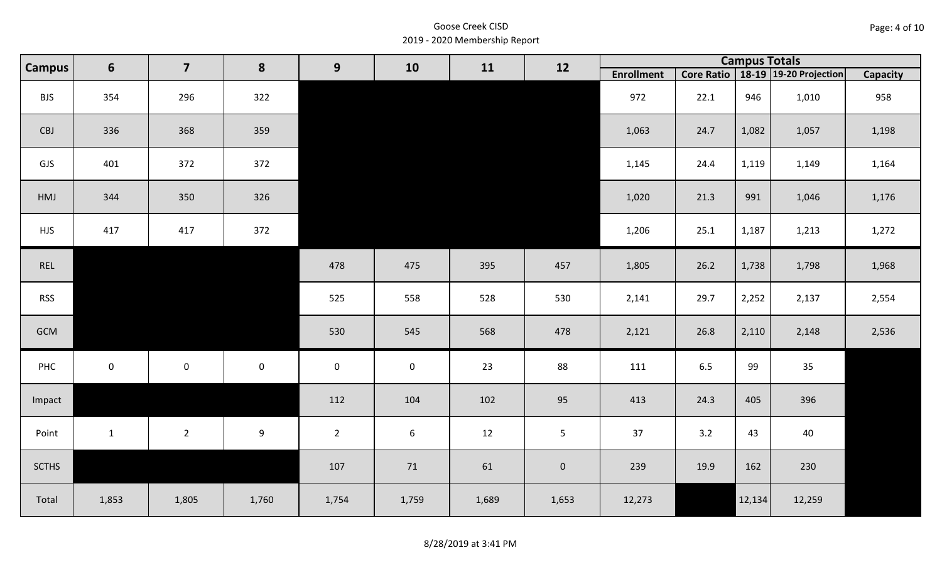| Page: 4 of 10 |  |
|---------------|--|
|---------------|--|

| 6<br><b>Campus</b> |              | $\overline{\mathbf{z}}$ | 8                   | 9                   | 10          | 11    | 12             |                   |      | <b>Campus Totals</b> |                                       |                 |
|--------------------|--------------|-------------------------|---------------------|---------------------|-------------|-------|----------------|-------------------|------|----------------------|---------------------------------------|-----------------|
|                    |              |                         |                     |                     |             |       |                | <b>Enrollment</b> |      |                      | Core Ratio   18-19   19-20 Projection | <b>Capacity</b> |
| <b>BJS</b>         | 354          | 296                     | 322                 |                     |             |       |                | 972               | 22.1 | 946                  | 1,010                                 | 958             |
| CBJ                | 336          | 368                     | 359                 |                     |             |       |                | 1,063             | 24.7 | 1,082                | 1,057                                 | 1,198           |
| GJS                | 401          | 372                     | 372                 |                     |             |       |                | 1,145             | 24.4 | 1,119                | 1,149                                 | 1,164           |
| HMJ                | 344          | 350                     | 326                 |                     |             |       |                | 1,020             | 21.3 | 991                  | 1,046                                 | 1,176           |
| <b>HJS</b>         | 417          | 417                     | 372                 |                     |             |       |                | 1,206             | 25.1 | 1,187                | 1,213                                 | 1,272           |
| REL                |              |                         |                     | 478                 | 475         | 395   | 457            | 1,805             | 26.2 | 1,738                | 1,798                                 | 1,968           |
| <b>RSS</b>         |              |                         |                     | 525                 | 558         | 528   | 530            | 2,141             | 29.7 | 2,252                | 2,137                                 | 2,554           |
| GCM                |              |                         |                     | 530                 | 545         | 568   | 478            | 2,121             | 26.8 | 2,110                | 2,148                                 | 2,536           |
| PHC                | $\mathbf 0$  | $\mathsf{O}\xspace$     | $\mathsf{O}\xspace$ | $\mathsf{O}\xspace$ | $\mathbf 0$ | 23    | 88             | 111               | 6.5  | 99                   | 35                                    |                 |
| Impact             |              |                         |                     | 112                 | 104         | 102   | 95             | 413               | 24.3 | 405                  | 396                                   |                 |
| Point              | $\mathbf{1}$ | $2^{\circ}$             | 9                   | $2^{\circ}$         | 6           | 12    | 5 <sub>1</sub> | 37                | 3.2  | 43                   | 40                                    |                 |
| <b>SCTHS</b>       |              |                         |                     | 107                 | 71          | 61    | $\mathbf 0$    | 239               | 19.9 | 162                  | 230                                   |                 |
| Total              | 1,853        | 1,805                   | 1,760               | 1,754               | 1,759       | 1,689 | 1,653          | 12,273            |      | 12,134               | 12,259                                |                 |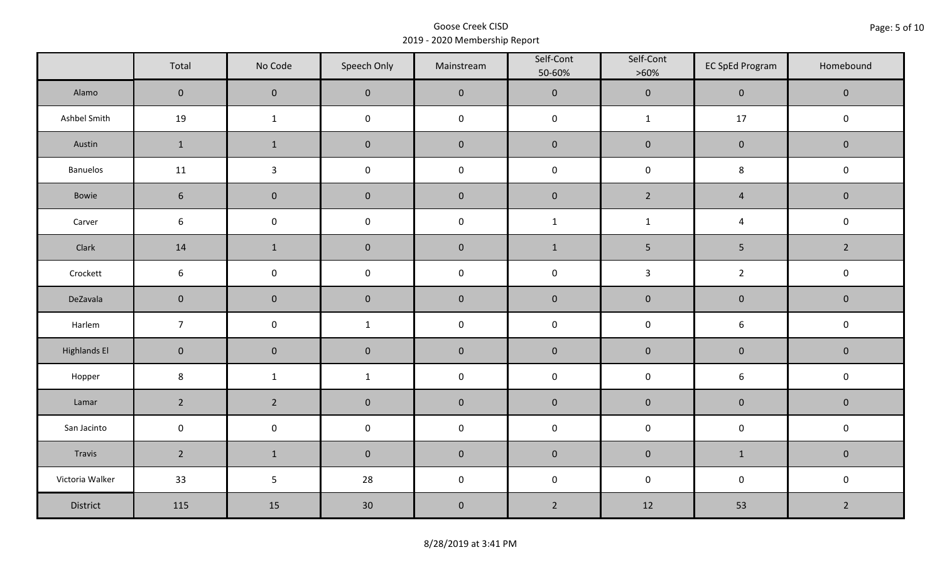|                     | Total           | No Code             | Speech Only         | Mainstream | Self-Cont<br>50-60% | Self-Cont<br>$>60\%$ | <b>EC SpEd Program</b> | Homebound      |  |
|---------------------|-----------------|---------------------|---------------------|------------|---------------------|----------------------|------------------------|----------------|--|
| Alamo               | $\overline{0}$  | $\mathbf 0$         | $\mathbf{0}$        | $\pmb{0}$  | $\pmb{0}$           | $\pmb{0}$            | $\mathbf 0$            | $\mathbf 0$    |  |
| Ashbel Smith        | 19              | $\mathbf{1}$        | $\mathsf{O}\xspace$ | $\pmb{0}$  | $\pmb{0}$           | $\mathbf{1}$         | $17$                   | $\pmb{0}$      |  |
| Austin              | $\mathbf{1}$    | $\mathbf{1}$        | $\mathbf 0$         | $\pmb{0}$  | $\pmb{0}$           | $\pmb{0}$            | $\pmb{0}$              | $\mathbf 0$    |  |
| Banuelos            | 11              | $\mathbf{3}$        | $\pmb{0}$           | $\pmb{0}$  | $\pmb{0}$           | $\pmb{0}$            | 8                      | $\mathbf 0$    |  |
| Bowie               | $6\phantom{.}6$ | $\mathbf 0$         | $\mathbf 0$         | $\pmb{0}$  | $\pmb{0}$           | $2^{\circ}$          | $\overline{4}$         | $\mathbf 0$    |  |
| Carver              | 6               | $\mathsf{O}\xspace$ | $\pmb{0}$           | $\pmb{0}$  | $\mathbf 1$         | $\mathbf{1}$         | $\overline{4}$         | $\pmb{0}$      |  |
| Clark               | 14              | $\mathbf{1}$        | $\mathbf 0$         | $\pmb{0}$  | $1\,$               | 5                    | $\overline{5}$         | $\overline{2}$ |  |
| Crockett            | 6               | $\mathsf 0$         | $\pmb{0}$           | $\pmb{0}$  | $\pmb{0}$           | $\mathbf{3}$         | $\overline{2}$         | $\pmb{0}$      |  |
| DeZavala            | $\mathbf 0$     | $\mathbf 0$         | $\mathbf 0$         | $\pmb{0}$  | $\pmb{0}$           | $\pmb{0}$            | $\pmb{0}$              | $\mathbf 0$    |  |
| Harlem              | $7\overline{ }$ | $\mathsf{O}\xspace$ | $\mathbf{1}$        | $\pmb{0}$  | $\pmb{0}$           | $\pmb{0}$            | $\boldsymbol{6}$       | $\mathbf 0$    |  |
| <b>Highlands El</b> | $\mathbf 0$     | $\mathbf 0$         | $\mathbf 0$         | $\pmb{0}$  | $\pmb{0}$           | $\pmb{0}$            | $\pmb{0}$              | $\mathbf 0$    |  |
| Hopper              | $\bf 8$         | $\mathbf{1}$        | $\mathbf{1}$        | $\pmb{0}$  | $\pmb{0}$           | $\pmb{0}$            | $\boldsymbol{6}$       | $\pmb{0}$      |  |
| Lamar               | $2^{\circ}$     | $\overline{2}$      | $\mathbf 0$         | $\pmb{0}$  | $\pmb{0}$           | $\pmb{0}$            | $\pmb{0}$              | $\pmb{0}$      |  |
| San Jacinto         | $\mathbf 0$     | $\mathbf 0$         | $\mathsf{O}\xspace$ | $\pmb{0}$  | $\pmb{0}$           | $\pmb{0}$            | $\pmb{0}$              | $\mathbf 0$    |  |
| Travis              | $\overline{2}$  | $\mathbf{1}$        | $\mathbf{0}$        | $\pmb{0}$  | $\pmb{0}$           | $\pmb{0}$            | $\mathbf{1}$           | $\mathbf 0$    |  |
| Victoria Walker     | 33              | $5\phantom{.0}$     | 28                  | $\pmb{0}$  | $\pmb{0}$           | $\pmb{0}$            | $\pmb{0}$              | $\mathbf 0$    |  |
| District            | 115             | 15                  | 30                  | $\pmb{0}$  | $\overline{2}$      | 12                   | 53                     | $\overline{2}$ |  |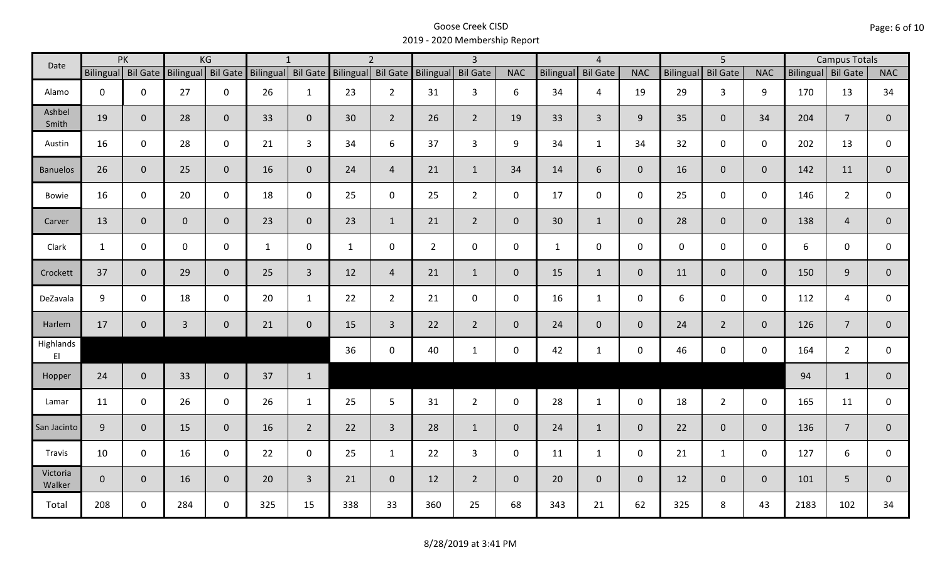| Date               |              | PK                 |                    | KG             |              | $\mathbf{1}$       |              | $\overline{2}$     |                    | $\overline{3}$ |                |              | $\overline{4}$  |                |                  | $\overline{5}$  |                |                    | <b>Campus Totals</b> |                |
|--------------------|--------------|--------------------|--------------------|----------------|--------------|--------------------|--------------|--------------------|--------------------|----------------|----------------|--------------|-----------------|----------------|------------------|-----------------|----------------|--------------------|----------------------|----------------|
|                    |              | Bilingual Bil Gate | Bilingual Bil Gate |                |              | Bilingual Bil Gate |              | Bilingual Bil Gate | Bilingual Bil Gate |                | <b>NAC</b>     | Bilingual    | <b>Bil Gate</b> | <b>NAC</b>     | <b>Bilingual</b> | <b>Bil Gate</b> | <b>NAC</b>     | Bilingual Bil Gate |                      | <b>NAC</b>     |
| Alamo              | $\mathbf 0$  | $\mathbf 0$        | 27                 | $\mathbf 0$    | 26           | $\mathbf{1}$       | 23           | $2^{\circ}$        | 31                 | 3 <sup>1</sup> | 6              | 34           | $\overline{4}$  | 19             | 29               | $\mathbf{3}$    | 9              | 170                | 13                   | 34             |
| Ashbel<br>Smith    | 19           | $\mathbf 0$        | 28                 | $\mathbf{0}$   | 33           | $\mathbf{0}$       | 30           | $\overline{2}$     | 26                 | $\overline{2}$ | 19             | 33           | $\overline{3}$  | 9 <sup>°</sup> | 35               | $\mathbf{0}$    | 34             | 204                | $\overline{7}$       | $\overline{0}$ |
| Austin             | 16           | $\mathbf 0$        | 28                 | $\mathbf 0$    | 21           | 3                  | 34           | 6                  | 37                 | 3              | 9              | 34           | $\mathbf{1}$    | 34             | 32               | $\mathbf 0$     | $\mathbf 0$    | 202                | 13                   | 0              |
| <b>Banuelos</b>    | 26           | $\mathbf{0}$       | 25                 | $\overline{0}$ | 16           | $\mathbf{0}$       | 24           | $\overline{4}$     | 21                 | $\mathbf{1}$   | 34             | 14           | 6               | $\overline{0}$ | 16               | $\overline{0}$  | $\mathbf{0}$   | 142                | 11                   | $\mathbf{0}$   |
| Bowie              | 16           | $\mathbf 0$        | 20                 | $\mathsf 0$    | 18           | $\mathbf 0$        | 25           | $\mathbf 0$        | 25                 | $2^{\circ}$    | $\mathbf 0$    | 17           | $\mathbf 0$     | $\mathbf 0$    | 25               | $\mathbf 0$     | $\mathbf 0$    | 146                | $\overline{2}$       | 0              |
| Carver             | 13           | $\mathbf 0$        | $\overline{0}$     | $\mathbf 0$    | 23           | $\mathbf{0}$       | 23           | $\mathbf{1}$       | 21                 | $2^{\circ}$    | $\overline{0}$ | 30           | $\mathbf{1}$    | $\overline{0}$ | 28               | $\overline{0}$  | $\mathbf{0}$   | 138                | $\overline{4}$       | $\mathbf{0}$   |
| Clark              | $\mathbf{1}$ | $\mathbf 0$        | $\mathsf{O}$       | $\mathbf 0$    | $\mathbf{1}$ | $\mathbf{0}$       | $\mathbf{1}$ | $\mathbf 0$        | $\overline{2}$     | $\mathbf 0$    | $\mathbf 0$    | $\mathbf{1}$ | $\mathbf 0$     | $\mathbf 0$    | $\mathbf 0$      | $\mathbf{0}$    | $\mathbf 0$    | 6                  | $\mathbf 0$          | 0              |
| Crockett           | 37           | $\mathbf{0}$       | 29                 | $\mathbf 0$    | 25           | $\overline{3}$     | 12           | $\overline{4}$     | 21                 | $\mathbf{1}$   | $\mathbf{0}$   | 15           | $\mathbf{1}$    | $\overline{0}$ | 11               | $\overline{0}$  | $\mathbf{0}$   | 150                | 9                    | $\mathbf 0$    |
| DeZavala           | 9            | $\mathbf{0}$       | 18                 | $\mathbf 0$    | 20           | $\mathbf{1}$       | 22           | $2^{\circ}$        | 21                 | $\mathbf 0$    | 0              | 16           | $\mathbf{1}$    | $\mathbf 0$    | 6                | $\Omega$        | $\mathbf 0$    | 112                | 4                    | 0              |
| Harlem             | 17           | $\mathbf 0$        | $\mathbf{3}$       | $\mathbf 0$    | 21           | $\mathbf 0$        | 15           | $\overline{3}$     | 22                 | $2^{\circ}$    | $\mathbf 0$    | 24           | $\overline{0}$  | $\mathbf{0}$   | 24               | $2^{\circ}$     | $\mathbf{0}$   | 126                | $\overline{7}$       | $\overline{0}$ |
| Highlands<br>EI    |              |                    |                    |                |              |                    | 36           | $\mathbf 0$        | 40                 | $\mathbf{1}$   | $\mathbf 0$    | 42           | $\mathbf{1}$    | $\mathbf 0$    | 46               | $\mathbf 0$     | $\mathbf 0$    | 164                | $\overline{2}$       | $\mathbf 0$    |
| Hopper             | 24           | $\mathbf{0}$       | 33                 | $\overline{0}$ | 37           | $\mathbf{1}$       |              |                    |                    |                |                |              |                 |                |                  |                 |                | 94                 | $\mathbf{1}$         | $\mathbf 0$    |
| Lamar              | 11           | $\mathbf 0$        | 26                 | $\mathbf 0$    | 26           | $\mathbf{1}$       | 25           | 5 <sup>1</sup>     | 31                 | $2^{\circ}$    | $\mathbf 0$    | 28           | $\mathbf{1}$    | $\mathbf{0}$   | 18               | $2^{\circ}$     | $\mathbf 0$    | 165                | 11                   | $\mathbf 0$    |
| San Jacinto        | 9            | $\mathbf 0$        | 15                 | $\overline{0}$ | 16           | $\overline{2}$     | 22           | $\overline{3}$     | 28                 | $\mathbf{1}$   | $\overline{0}$ | 24           | $\mathbf{1}$    | $\overline{0}$ | 22               | $\overline{0}$  | $\mathbf{0}$   | 136                | $\overline{7}$       | $\overline{0}$ |
| Travis             | 10           | $\mathbf 0$        | 16                 | $\mathbf 0$    | 22           | 0                  | 25           | $\mathbf{1}$       | 22                 | $\mathbf{3}$   | $\mathsf 0$    | 11           | $\mathbf{1}$    | $\mathbf 0$    | 21               | $\mathbf{1}$    | $\mathbf 0$    | 127                | 6                    | 0              |
| Victoria<br>Walker | $\mathbf{0}$ | $\mathbf 0$        | 16                 | $\mathbf{0}$   | 20           | $\overline{3}$     | 21           | $\overline{0}$     | 12                 | $2^{\circ}$    | $\overline{0}$ | 20           | $\overline{0}$  | $\overline{0}$ | 12               | $\overline{0}$  | $\overline{0}$ | 101                | 5                    | $\mathbf{0}$   |
| Total              | 208          | 0                  | 284                | $\mathbf 0$    | 325          | 15                 | 338          | 33                 | 360                | 25             | 68             | 343          | 21              | 62             | 325              | 8               | 43             | 2183               | 102                  | 34             |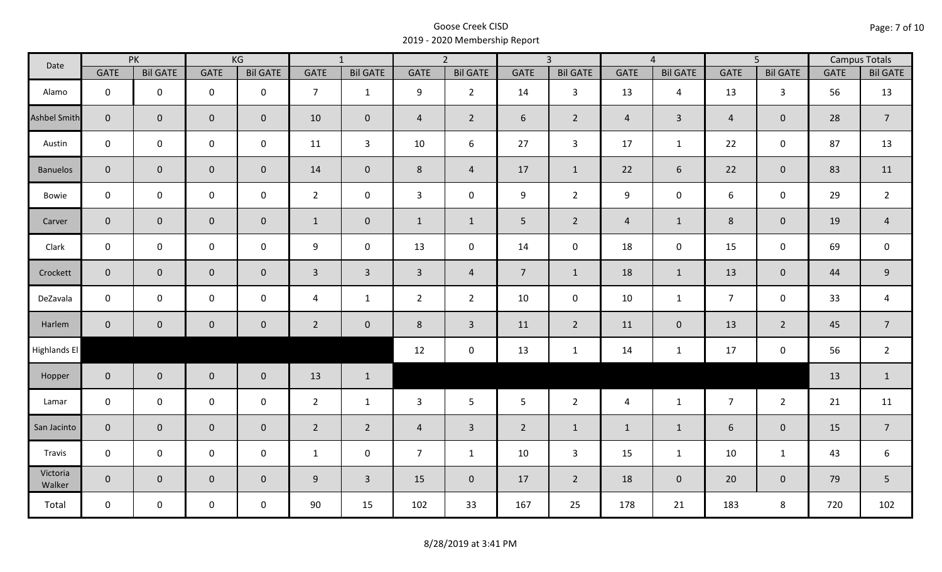| Date                |                | PK              |                     | KG              |                | $\overline{1}$  |                | $\overline{2}$  |                 | $\overline{3}$  |                | $\overline{4}$  |                | $\overline{5}$      |             | <b>Campus Totals</b> |
|---------------------|----------------|-----------------|---------------------|-----------------|----------------|-----------------|----------------|-----------------|-----------------|-----------------|----------------|-----------------|----------------|---------------------|-------------|----------------------|
|                     | <b>GATE</b>    | <b>Bil GATE</b> | <b>GATE</b>         | <b>Bil GATE</b> | <b>GATE</b>    | <b>Bil GATE</b> | <b>GATE</b>    | <b>Bil GATE</b> | <b>GATE</b>     | <b>Bil GATE</b> | <b>GATE</b>    | <b>Bil GATE</b> | <b>GATE</b>    | <b>Bil GATE</b>     | <b>GATE</b> | <b>Bil GATE</b>      |
| Alamo               | $\mathbf 0$    | $\mathbf 0$     | $\mathbf 0$         | $\mathbf 0$     | $\overline{7}$ | $\mathbf{1}$    | 9              | $\overline{2}$  | 14              | $\mathbf{3}$    | 13             | $\overline{4}$  | 13             | $\overline{3}$      | 56          | 13                   |
| <b>Ashbel Smith</b> | $\mathbf{0}$   | $\overline{0}$  | $\mathsf{O}\xspace$ | $\mathbf{0}$    | 10             | $\overline{0}$  | $\overline{4}$ | $\overline{2}$  | 6               | $2^{\circ}$     | $\overline{4}$ | $\mathbf{3}$    | $\overline{4}$ | $\mathbf{0}$        | 28          | $\overline{7}$       |
| Austin              | $\mathbf 0$    | $\mathbf 0$     | $\mathsf 0$         | $\mathbf 0$     | 11             | $\overline{3}$  | 10             | 6               | 27              | $\mathbf{3}$    | 17             | $\mathbf{1}$    | 22             | $\mathbf 0$         | 87          | 13                   |
| <b>Banuelos</b>     | $\overline{0}$ | $\mathbf 0$     | $\pmb{0}$           | $\mathbf{0}$    | 14             | $\overline{0}$  | 8              | $\overline{4}$  | 17              | $\mathbf{1}$    | 22             | $6\phantom{a}$  | 22             | $\overline{0}$      | 83          | 11                   |
| Bowie               | $\mathbf 0$    | $\mathbf 0$     | $\mathsf 0$         | $\mathbf 0$     | $2^{\circ}$    | $\mathbf 0$     | $\mathbf{3}$   | $\mathbf 0$     | 9               | $2^{\circ}$     | 9              | $\mathsf{O}$    | 6              | $\mathbf 0$         | 29          | $\overline{2}$       |
| Carver              | $\overline{0}$ | $\mathbf 0$     | $\pmb{0}$           | $\mathbf{0}$    | $\mathbf{1}$   | $\mathbf 0$     | $\mathbf{1}$   | $\mathbf{1}$    | 5               | $2^{\circ}$     | $\overline{4}$ | $\mathbf{1}$    | $\,8\,$        | $\mathbf 0$         | 19          | $\overline{4}$       |
| Clark               | $\mathbf 0$    | $\mathbf 0$     | $\mathbf 0$         | 0               | 9              | $\mathbf 0$     | 13             | $\mathbf 0$     | 14              | $\mathbf 0$     | 18             | $\mathsf{O}$    | 15             | $\mathbf 0$         | 69          | $\mathsf 0$          |
| Crockett            | $\overline{0}$ | $\mathbf 0$     | $\mathbf 0$         | $\mathbf{0}$    | $\mathbf{3}$   | $\overline{3}$  | $\overline{3}$ | $\overline{4}$  | $7\overline{ }$ | $\mathbf{1}$    | 18             | $\mathbf{1}$    | 13             | $\mathbf 0$         | 44          | $\mathsf 9$          |
| DeZavala            | $\mathbf 0$    | $\mathbf 0$     | $\mathsf{O}\xspace$ | $\mathbf 0$     | 4              | $\mathbf{1}$    | $\overline{2}$ | $\overline{2}$  | 10              | $\mathbf 0$     | 10             | $\mathbf{1}$    | $\overline{7}$ | $\mathbf 0$         | 33          | $\overline{a}$       |
| Harlem              | $\overline{0}$ | $\mathbf{0}$    | $\mathbf 0$         | $\mathbf{0}$    | $\overline{2}$ | $\mathbf 0$     | 8              | $\mathbf{3}$    | 11              | $\overline{2}$  | 11             | $\mathbf{0}$    | 13             | $\overline{2}$      | 45          | $\overline{7}$       |
| Highlands El        |                |                 |                     |                 |                |                 | 12             | $\pmb{0}$       | 13              | $\mathbf{1}$    | 14             | $\mathbf{1}$    | 17             | $\mathsf{O}\xspace$ | 56          | $\overline{2}$       |
| Hopper              | $\overline{0}$ | $\overline{0}$  | $\mathbf 0$         | $\overline{0}$  | 13             | $\mathbf{1}$    |                |                 |                 |                 |                |                 |                |                     | 13          | $\mathbf{1}$         |
| Lamar               | $\mathbf 0$    | $\mathbf 0$     | $\mathbf 0$         | $\mathbf 0$     | $2^{\circ}$    | $\mathbf{1}$    | $\mathbf{3}$   | 5               | 5               | $2^{\circ}$     | $\overline{4}$ | $\mathbf{1}$    | $\overline{7}$ | $2^{\circ}$         | 21          | 11                   |
| San Jacinto         | $\overline{0}$ | $\mathbf{0}$    | $\mathbf 0$         | $\mathbf{0}$    | $\overline{2}$ | $2^{\circ}$     | $\overline{4}$ | $\overline{3}$  | $2^{\circ}$     | $\mathbf{1}$    | $\mathbf{1}$   | $\mathbf{1}$    | 6              | $\mathbf{0}$        | 15          | $\overline{7}$       |
| Travis              | $\mathbf 0$    | $\mathbf 0$     | $\mathbf 0$         | $\mathbf 0$     | $\mathbf{1}$   | $\mathbf 0$     | $\overline{7}$ | $\mathbf{1}$    | 10              | $\mathbf{3}$    | 15             | $\mathbf{1}$    | 10             | $\mathbf{1}$        | 43          | 6                    |
| Victoria<br>Walker  | $\overline{0}$ | $\mathbf 0$     | $\mathsf{O}\xspace$ | $\mathbf 0$     | 9              | $\overline{3}$  | 15             | $\mathbf{0}$    | 17              | $\overline{2}$  | 18             | $\mathbf 0$     | 20             | $\mathbf{0}$        | 79          | 5                    |
| Total               | $\mathbf 0$    | $\mathbf 0$     | $\mathbf 0$         | $\mathbf 0$     | 90             | 15              | 102            | 33              | 167             | 25              | 178            | 21              | 183            | 8                   | 720         | 102                  |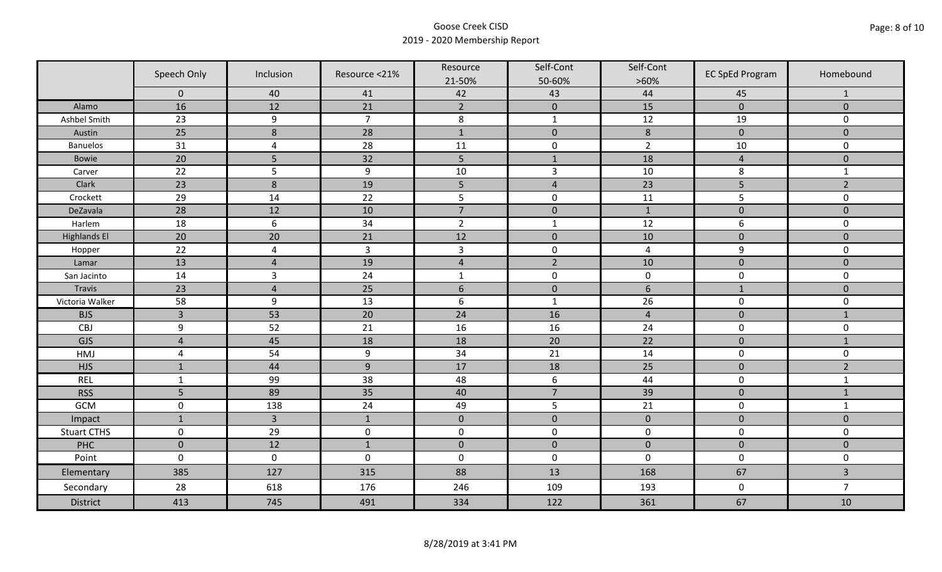|                     | Speech Only    | Inclusion      | Resource <21%  | Resource<br>21-50% | Self-Cont<br>50-60% | Self-Cont<br>$>60\%$ | <b>EC SpEd Program</b> | Homebound      |
|---------------------|----------------|----------------|----------------|--------------------|---------------------|----------------------|------------------------|----------------|
|                     | $\mathbf 0$    | 40             | 41             | 42                 | 43                  | 44                   | 45                     | $\mathbf{1}$   |
| Alamo               | 16             | 12             | 21             | $\overline{2}$     | $\pmb{0}$           | 15                   | $\pmb{0}$              | $\mathbf 0$    |
| Ashbel Smith        | 23             | $9\,$          | $\overline{7}$ | $\,8\,$            | $\mathbf{1}$        | 12                   | 19                     | 0              |
| Austin              | 25             | 8              | 28             | $\mathbf{1}$       | $\pmb{0}$           | $\,8\,$              | $\pmb{0}$              | $\overline{0}$ |
| <b>Banuelos</b>     | 31             | $\overline{4}$ | 28             | 11                 | $\pmb{0}$           | $\overline{2}$       | $10\,$                 | $\mathbf 0$    |
| <b>Bowie</b>        | 20             | 5              | 32             | 5                  | $1\,$               | 18                   | $\overline{a}$         | $\pmb{0}$      |
| Carver              | 22             | 5              | $9\,$          | 10                 | $\overline{3}$      | 10                   | 8                      | $\mathbf{1}$   |
| Clark               | 23             | 8              | 19             | 5                  | $\sqrt{4}$          | 23                   | 5                      | $\overline{2}$ |
| Crockett            | 29             | 14             | 22             | 5                  | $\pmb{0}$           | 11                   | 5                      | 0              |
| DeZavala            | 28             | 12             | 10             | $\overline{7}$     | $\pmb{0}$           | $\mathbf{1}$         | $\pmb{0}$              | $\overline{0}$ |
| Harlem              | 18             | $6\,$          | 34             | $\overline{2}$     | $\mathbf 1$         | 12                   | 6                      | 0              |
| <b>Highlands El</b> | 20             | 20             | 21             | 12                 | $\pmb{0}$           | 10                   | $\pmb{0}$              | $\overline{0}$ |
| Hopper              | 22             | $\overline{4}$ | $\overline{3}$ | $\mathsf{3}$       | $\pmb{0}$           | $\pmb{4}$            | 9                      | 0              |
| Lamar               | 13             | $\overline{4}$ | 19             | $\sqrt{4}$         | $\overline{2}$      | 10                   | $\pmb{0}$              | $\mathbf 0$    |
| San Jacinto         | 14             | $\overline{3}$ | 24             | $\mathbf{1}$       | $\pmb{0}$           | $\pmb{0}$            | $\pmb{0}$              | 0              |
| Travis              | 23             | $\overline{4}$ | 25             | $6\,$              | $\pmb{0}$           | $\sqrt{6}$           | $\mathbf{1}$           | $\mathbf 0$    |
| Victoria Walker     | 58             | 9              | 13             | $\boldsymbol{6}$   | $\mathbf 1$         | 26                   | $\pmb{0}$              | 0              |
| <b>BJS</b>          | $\overline{3}$ | 53             | 20             | 24                 | 16                  | $\overline{4}$       | $\pmb{0}$              | $\mathbf{1}$   |
| CBJ                 | 9              | 52             | 21             | 16                 | 16                  | 24                   | $\pmb{0}$              | 0              |
| GJS                 | $\overline{4}$ | 45             | 18             | 18                 | 20                  | 22                   | $\mathbf 0$            | $\mathbf{1}$   |
| HMJ                 | $\overline{4}$ | 54             | 9              | 34                 | 21                  | 14                   | $\pmb{0}$              | 0              |
| <b>HJS</b>          | $\mathbf{1}$   | 44             | $\overline{9}$ | 17                 | 18                  | 25                   | $\pmb{0}$              | $\overline{2}$ |
| <b>REL</b>          | $\mathbf{1}$   | 99             | 38             | 48                 | $\boldsymbol{6}$    | 44                   | $\pmb{0}$              | $\mathbf{1}$   |
| <b>RSS</b>          | 5              | 89             | 35             | 40                 | $\overline{7}$      | 39                   | $\pmb{0}$              | $\mathbf{1}$   |
| GCM                 | $\mathsf 0$    | 138            | 24             | 49                 | 5                   | 21                   | $\pmb{0}$              | $\mathbf{1}$   |
| Impact              | $\mathbf{1}$   | $\overline{3}$ | $\mathbf{1}$   | $\mathbf 0$        | $\pmb{0}$           | $\mathbf 0$          | $\mathbf 0$            | $\overline{0}$ |
| <b>Stuart CTHS</b>  | $\mathsf 0$    | 29             | $\pmb{0}$      | $\pmb{0}$          | $\pmb{0}$           | $\pmb{0}$            | $\pmb{0}$              | 0              |
| PHC                 | $\mathbf 0$    | 12             | $1\,$          | $\pmb{0}$          | $\pmb{0}$           | $\pmb{0}$            | $\pmb{0}$              | $\pmb{0}$      |
| Point               | $\mathbf 0$    | $\mathbf 0$    | $\mathbf 0$    | $\boldsymbol{0}$   | $\pmb{0}$           | $\mathbf 0$          | $\pmb{0}$              | 0              |
| Elementary          | 385            | 127            | 315            | 88                 | 13                  | 168                  | 67                     | $\overline{3}$ |
| Secondary           | 28             | 618            | 176            | 246                | 109                 | 193                  | $\mathbf 0$            | $\overline{7}$ |
| <b>District</b>     | 413            | 745            | 491            | 334                | 122                 | 361                  | 67                     | 10             |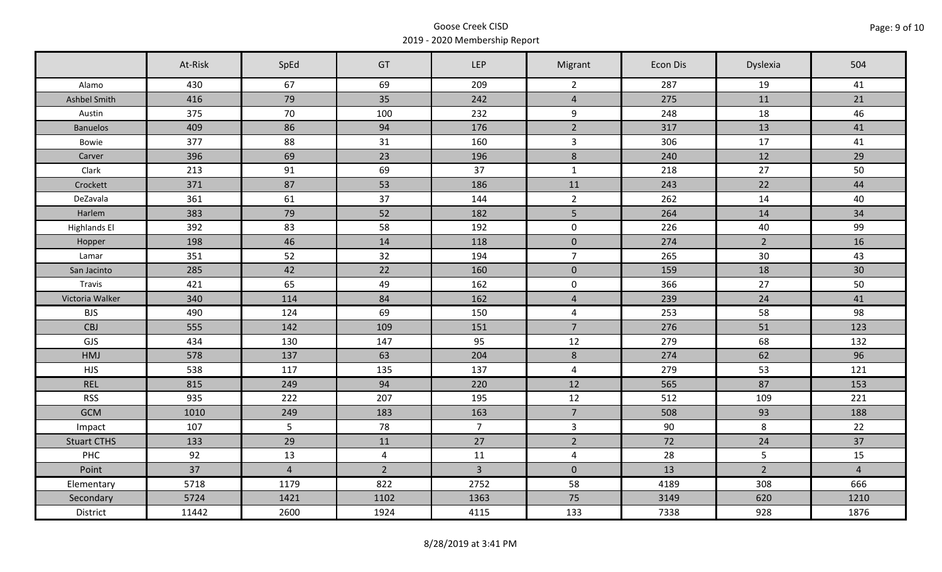|                     | At-Risk | SpEd           | GT             | LEP            | Migrant             | Econ Dis | Dyslexia       | 504            |
|---------------------|---------|----------------|----------------|----------------|---------------------|----------|----------------|----------------|
| Alamo               | 430     | 67             | 69             | 209            | $\overline{2}$      | 287      | 19             | 41             |
| Ashbel Smith        | 416     | 79             | 35             | 242            | $\overline{4}$      | 275      | 11             | 21             |
| Austin              | 375     | 70             | 100            | 232            | 9                   | 248      | 18             | 46             |
| <b>Banuelos</b>     | 409     | 86             | 94             | 176            | $\overline{2}$      | 317      | 13             | 41             |
| Bowie               | 377     | 88             | 31             | 160            | $\mathbf{3}$        | 306      | 17             | 41             |
| Carver              | 396     | 69             | 23             | 196            | 8                   | 240      | 12             | 29             |
| Clark               | 213     | 91             | 69             | 37             | $\mathbf{1}$        | 218      | 27             | 50             |
| Crockett            | 371     | 87             | 53             | 186            | 11                  | 243      | 22             | 44             |
| DeZavala            | 361     | 61             | 37             | 144            | $\overline{2}$      | 262      | 14             | 40             |
| Harlem              | 383     | 79             | 52             | 182            | 5                   | 264      | 14             | 34             |
| <b>Highlands El</b> | 392     | 83             | 58             | 192            | $\mathsf{O}\xspace$ | 226      | 40             | 99             |
| Hopper              | 198     | 46             | 14             | 118            | $\mathbf 0$         | 274      | $2^{\circ}$    | 16             |
| Lamar               | 351     | 52             | 32             | 194            | $\overline{7}$      | 265      | 30             | 43             |
| San Jacinto         | 285     | 42             | 22             | 160            | $\mathbf 0$         | 159      | 18             | 30             |
| Travis              | 421     | 65             | 49             | 162            | $\mathbf 0$         | 366      | 27             | 50             |
| Victoria Walker     | 340     | 114            | 84             | 162            | $\overline{4}$      | 239      | 24             | 41             |
| <b>BJS</b>          | 490     | 124            | 69             | 150            | $\overline{4}$      | 253      | 58             | 98             |
| <b>CBJ</b>          | 555     | 142            | 109            | 151            | $\overline{7}$      | 276      | 51             | 123            |
| GJS                 | 434     | 130            | 147            | 95             | 12                  | 279      | 68             | 132            |
| HMJ                 | 578     | 137            | 63             | 204            | $8\phantom{1}$      | 274      | 62             | 96             |
| <b>HJS</b>          | 538     | 117            | 135            | 137            | $\overline{4}$      | 279      | 53             | 121            |
| <b>REL</b>          | 815     | 249            | 94             | 220            | 12                  | 565      | 87             | 153            |
| <b>RSS</b>          | 935     | 222            | 207            | 195            | 12                  | 512      | 109            | 221            |
| <b>GCM</b>          | 1010    | 249            | 183            | 163            | $\overline{7}$      | 508      | 93             | 188            |
| Impact              | 107     | 5              | 78             | $\overline{7}$ | $\overline{3}$      | 90       | 8              | 22             |
| <b>Stuart CTHS</b>  | 133     | 29             | 11             | 27             | $\overline{2}$      | 72       | 24             | 37             |
| PHC                 | 92      | 13             | 4              | 11             | 4                   | 28       | 5              | 15             |
| Point               | 37      | $\overline{4}$ | $\overline{2}$ | $\overline{3}$ | $\mathbf 0$         | 13       | $\overline{2}$ | $\overline{4}$ |
| Elementary          | 5718    | 1179           | 822            | 2752           | 58                  | 4189     | 308            | 666            |
| Secondary           | 5724    | 1421           | 1102           | 1363           | 75                  | 3149     | 620            | 1210           |
| District            | 11442   | 2600           | 1924           | 4115           | 133                 | 7338     | 928            | 1876           |